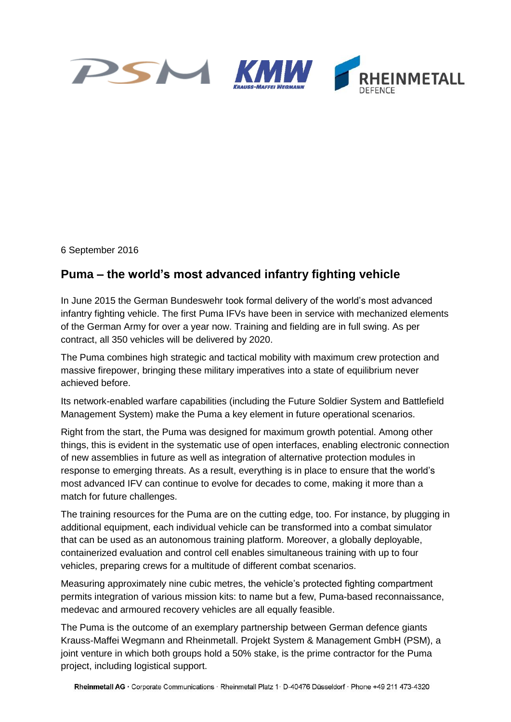

6 September 2016

## **Puma – the world's most advanced infantry fighting vehicle**

In June 2015 the German Bundeswehr took formal delivery of the world's most advanced infantry fighting vehicle. The first Puma IFVs have been in service with mechanized elements of the German Army for over a year now. Training and fielding are in full swing. As per contract, all 350 vehicles will be delivered by 2020.

The Puma combines high strategic and tactical mobility with maximum crew protection and massive firepower, bringing these military imperatives into a state of equilibrium never achieved before.

Its network-enabled warfare capabilities (including the Future Soldier System and Battlefield Management System) make the Puma a key element in future operational scenarios.

Right from the start, the Puma was designed for maximum growth potential. Among other things, this is evident in the systematic use of open interfaces, enabling electronic connection of new assemblies in future as well as integration of alternative protection modules in response to emerging threats. As a result, everything is in place to ensure that the world's most advanced IFV can continue to evolve for decades to come, making it more than a match for future challenges.

The training resources for the Puma are on the cutting edge, too. For instance, by plugging in additional equipment, each individual vehicle can be transformed into a combat simulator that can be used as an autonomous training platform. Moreover, a globally deployable, containerized evaluation and control cell enables simultaneous training with up to four vehicles, preparing crews for a multitude of different combat scenarios.

Measuring approximately nine cubic metres, the vehicle's protected fighting compartment permits integration of various mission kits: to name but a few, Puma-based reconnaissance, medevac and armoured recovery vehicles are all equally feasible.

The Puma is the outcome of an exemplary partnership between German defence giants Krauss-Maffei Wegmann and Rheinmetall. Projekt System & Management GmbH (PSM), a joint venture in which both groups hold a 50% stake, is the prime contractor for the Puma project, including logistical support.